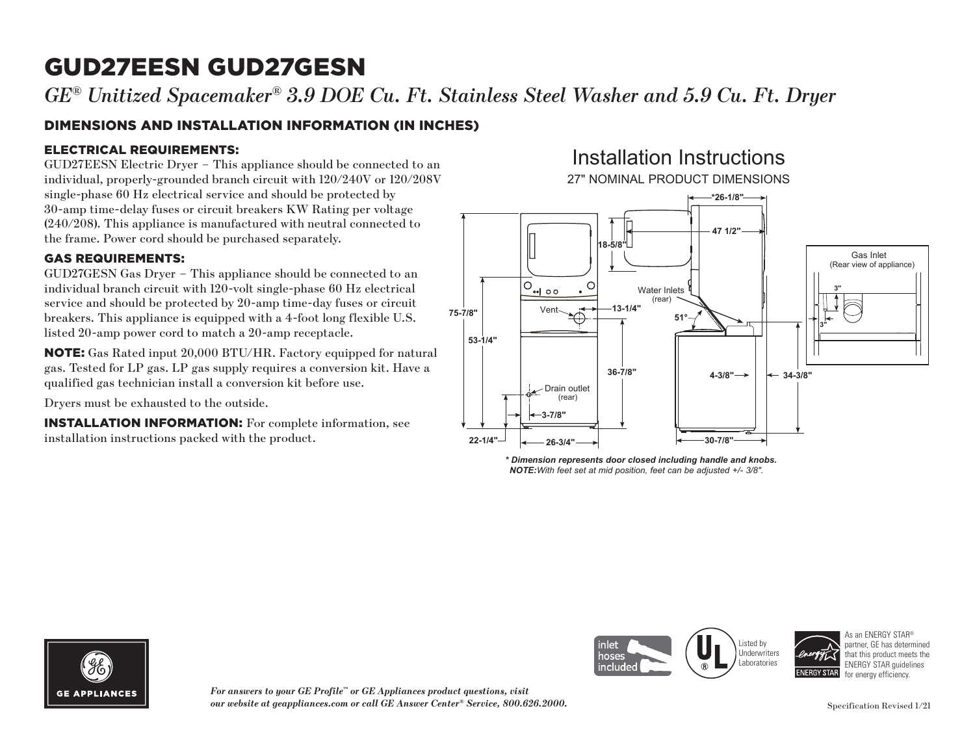*GE® Unitized Spacemaker® 3.9 DOE Cu. Ft. Stainless Steel Washer and 5.9 Cu. Ft. Dryer*

### DIMENSIONS AND INSTALLATION INFORMATION (IN INCHES)

#### ELECTRICAL REQUIREMENTS:

GUD27EESN Electric Dryer – This appliance should be connected to an individual, properly-grounded branch circuit with 120/240V or 120/208V single-phase 60 Hz electrical service and should be protected by 30-amp time-delay fuses or circuit breakers KW Rating per voltage (240/208). This appliance is manufactured with neutral connected to the frame. Power cord should be purchased separately.

#### GAS REQUIREMENTS:

GUD27GESN Gas Dryer – This appliance should be connected to an individual branch circuit with 120-volt single-phase 60 Hz electrical service and should be protected by 20-amp time-day fuses or circuit breakers. This appliance is equipped with a 4-foot long flexible U.S. listed 20-amp power cord to match a 20-amp receptacle.

NOTE: Gas Rated input 20,000 BTU/HR. Factory equipped for natural gas. Tested for LP gas. LP gas supply requires a conversion kit. Have a qualified gas technician install a conversion kit before use.

Dryers must be exhausted to the outside.

INSTALLATION INFORMATION: For complete information, see installation instructions packed with the product.

### Installation Instructions 27" NOMINAL PRODUCT DIMENSIONS



*\* Dimension represents door closed including handle and knobs. NOTE:With feet set at mid position, feet can be adjusted +/- 3/8".*



*For answers to your GE Profile™ or GE Appliances product questions, visit our website at geappliances.com or call GE Answer Center® Service, 800.626.2000.*



As an ENERGY STAR® partner, GE has determined that this product meets the ENERGY STAR guidelines for energy efficiency.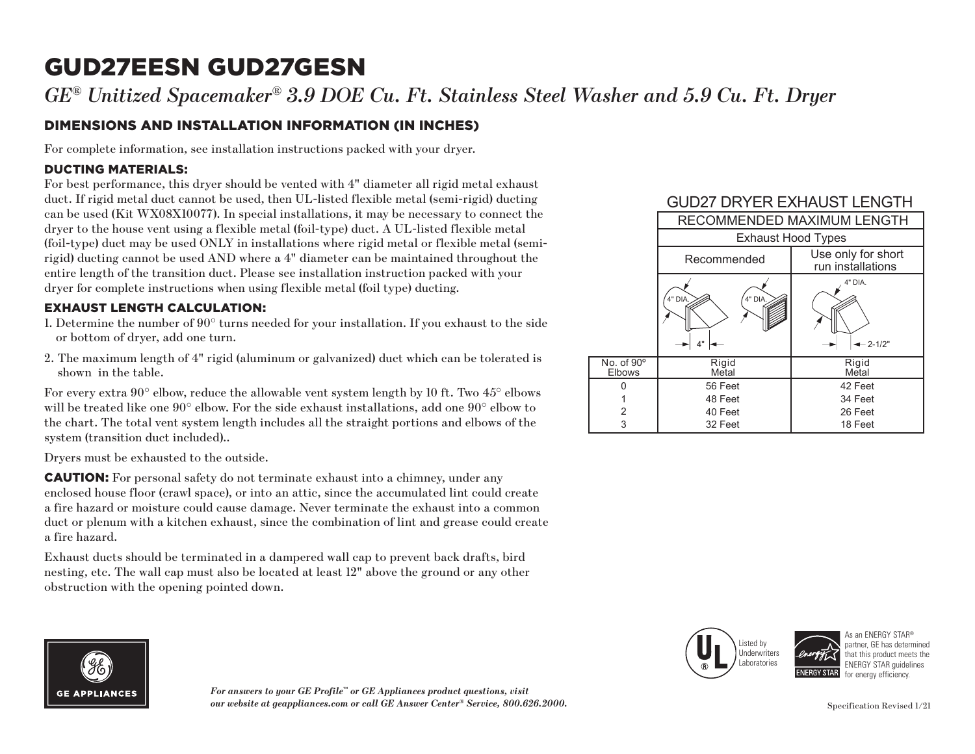*GE® Unitized Spacemaker® 3.9 DOE Cu. Ft. Stainless Steel Washer and 5.9 Cu. Ft. Dryer*

### DIMENSIONS AND INSTALLATION INFORMATION (IN INCHES)

For complete information, see installation instructions packed with your dryer.

#### DUCTING MATERIALS:

For best performance, this dryer should be vented with 4" diameter all rigid metal exhaust duct. If rigid metal duct cannot be used, then UL-listed flexible metal (semi-rigid) ducting can be used (Kit WX08X10077). In special installations, it may be necessary to connect the dryer to the house vent using a flexible metal (foil-type) duct. A UL-listed flexible metal (foil-type) duct may be used ONLY in installations where rigid metal or flexible metal (semirigid) ducting cannot be used AND where a 4" diameter can be maintained throughout the entire length of the transition duct. Please see installation instruction packed with your dryer for complete instructions when using flexible metal (foil type) ducting.

#### EXHAUST LENGTH CALCULATION:

- 1. Determine the number of 90° turns needed for your installation. If you exhaust to the side or bottom of dryer, add one turn.
- 2. The maximum length of 4" rigid (aluminum or galvanized) duct which can be tolerated is shown in the table.

For every extra 90° elbow, reduce the allowable vent system length by 10 ft. Two 45° elbows will be treated like one 90° elbow. For the side exhaust installations, add one 90° elbow to the chart. The total vent system length includes all the straight portions and elbows of the system (transition duct included)..

Dryers must be exhausted to the outside.

CAUTION: For personal safety do not terminate exhaust into a chimney, under any enclosed house floor (crawl space), or into an attic, since the accumulated lint could create a fire hazard or moisture could cause damage. Never terminate the exhaust into a common duct or plenum with a kitchen exhaust, since the combination of lint and grease could create a fire hazard.

Exhaust ducts should be terminated in a dampered wall cap to prevent back drafts, bird nesting, etc. The wall cap must also be located at least 12" above the ground or any other obstruction with the opening pointed down.









As an ENERGY STAR® partner, GE has determined that this product meets the ENERGY STAR guidelines for energy efficiency.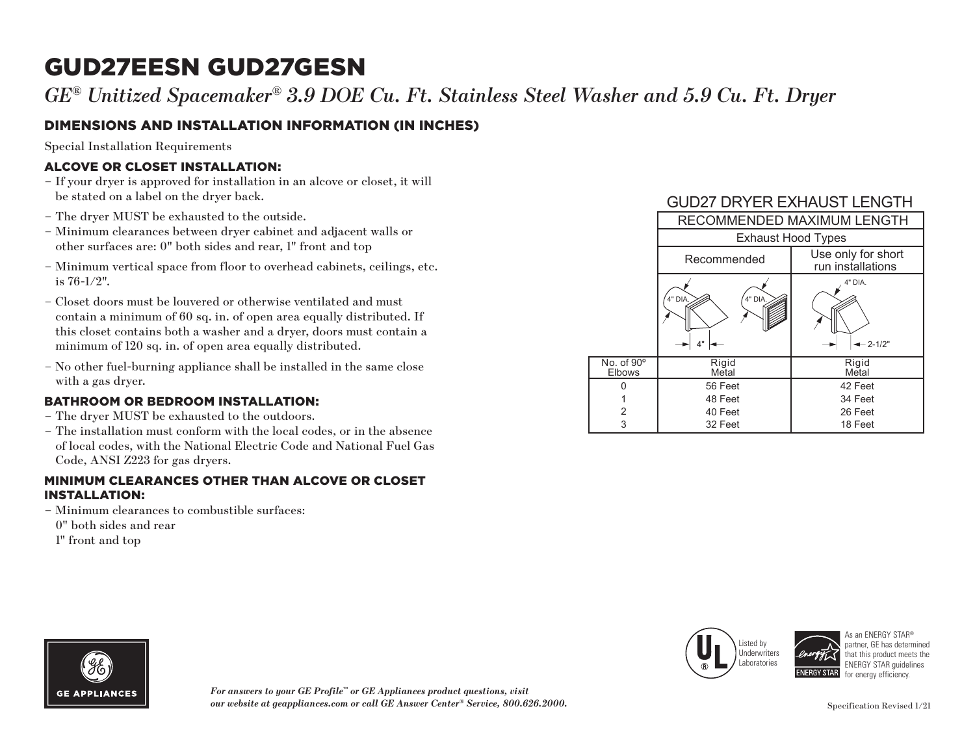*GE® Unitized Spacemaker® 3.9 DOE Cu. Ft. Stainless Steel Washer and 5.9 Cu. Ft. Dryer*

### DIMENSIONS AND INSTALLATION INFORMATION (IN INCHES)

Special Installation Requirements

#### ALCOVE OR CLOSET INSTALLATION:

- If your dryer is approved for installation in an alcove or closet, it will be stated on a label on the dryer back.
- The dryer MUST be exhausted to the outside.
- Minimum clearances between dryer cabinet and adjacent walls or other surfaces are: 0" both sides and rear, 1" front and top
- Minimum vertical space from floor to overhead cabinets, ceilings, etc. is 76-1/2".
- Closet doors must be louvered or otherwise ventilated and must contain a minimum of 60 sq. in. of open area equally distributed. If this closet contains both a washer and a dryer, doors must contain a minimum of 120 sq. in. of open area equally distributed.
- No other fuel-burning appliance shall be installed in the same close with a gas dryer.

#### BATHROOM OR BEDROOM INSTALLATION:

- The dryer MUST be exhausted to the outdoors.
- The installation must conform with the local codes, or in the absence of local codes, with the National Electric Code and National Fuel Gas Code, ANSI Z223 for gas dryers.

#### MINIMUM CLEARANCES OTHER THAN ALCOVE OR CLOSET INSTALLATION:

– Minimum clearances to combustible surfaces: 0" both sides and rear 1" front and top

GUD27 DRYER EXHAUST LENGTH RECOMMENDED MAXIMUM LENGTH